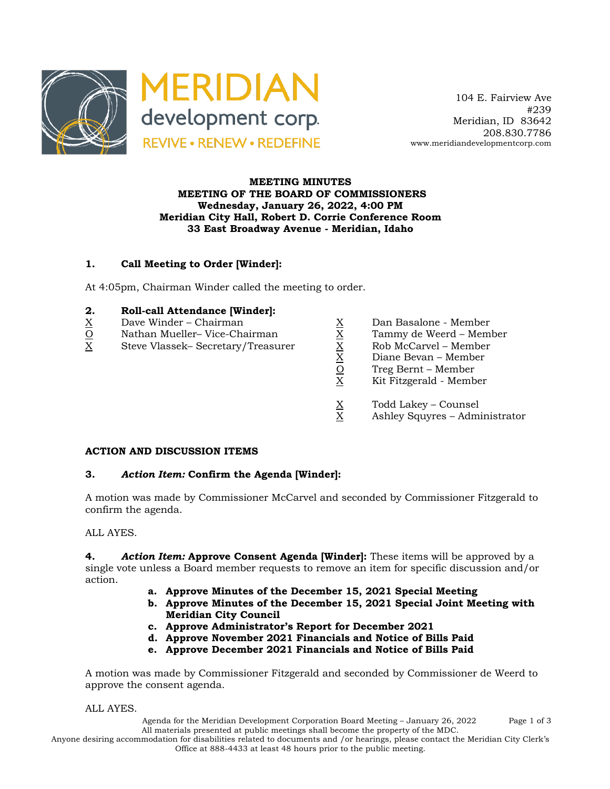

 104 E. Fairview Ave #239 Meridian, ID 83642 208.830.7786 www.meridiandevelopmentcorp.com

### **MEETING MINUTES MEETING OF THE BOARD OF COMMISSIONERS Wednesday, January 26, 2022, 4:00 PM Meridian City Hall, Robert D. Corrie Conference Room 33 East Broadway Avenue - Meridian, Idaho**

## **1. Call Meeting to Order [Winder]:**

At 4:05pm, Chairman Winder called the meeting to order.

### **2. Roll-call Attendance [Winder]:**

- 
- O Nathan Mueller– Vice-Chairman X Tammy de Weerd Member
- $\begin{array}{llllll} \underline{X} &\text{Dave Winder} \text{Chairman} &\underline{X} &\text{Dan Basalone Member} \\ \hline \underline{X} &\text{Steve Vlassek- Secretary/Treasure} &\underline{X} &\text{Rob McCarvel Member} \\ \hline \underline{X} &\text{Die Weerd Member} &\underline{X} &\text{Rob McCarvel Member} \\ \hline \underline{X} &\text{Diane Bevan Member} &\underline{X} &\text{Diane Bevan Member} \\ \hline \underline{X} &\text{Diane Bevan Member} &\underline{X} &\text{Diane Bexan Member} \\ \end{array}$ X Steve Vlassek– Secretary/Treasurer X Rob McCarvel – Member
	-
	-
	-
	- Diane Bevan Member
	- Treg Bernt Member
	- X Kit Fitzgerald Member
	- $X$  Todd Lakey Counsel<br>X Ashley Squyres Admi
	- Ashley Squyres Administrator

#### **ACTION AND DISCUSSION ITEMS**

#### **3.** *Action Item:* **Confirm the Agenda [Winder]:**

A motion was made by Commissioner McCarvel and seconded by Commissioner Fitzgerald to confirm the agenda.

## ALL AYES.

**4.** *Action Item:* **Approve Consent Agenda [Winder]:** These items will be approved by a single vote unless a Board member requests to remove an item for specific discussion and/or action.

- **a. Approve Minutes of the December 15, 2021 Special Meeting**
- **b. Approve Minutes of the December 15, 2021 Special Joint Meeting with Meridian City Council**
- **c. Approve Administrator's Report for December 2021**
- **d. Approve November 2021 Financials and Notice of Bills Paid**
- **e. Approve December 2021 Financials and Notice of Bills Paid**

A motion was made by Commissioner Fitzgerald and seconded by Commissioner de Weerd to approve the consent agenda.

ALL AYES.

Agenda for the Meridian Development Corporation Board Meeting – January 26, 2022 Page 1 of 3 All materials presented at public meetings shall become the property of the MDC.

Anyone desiring accommodation for disabilities related to documents and /or hearings, please contact the Meridian City Clerk's Office at 888-4433 at least 48 hours prior to the public meeting.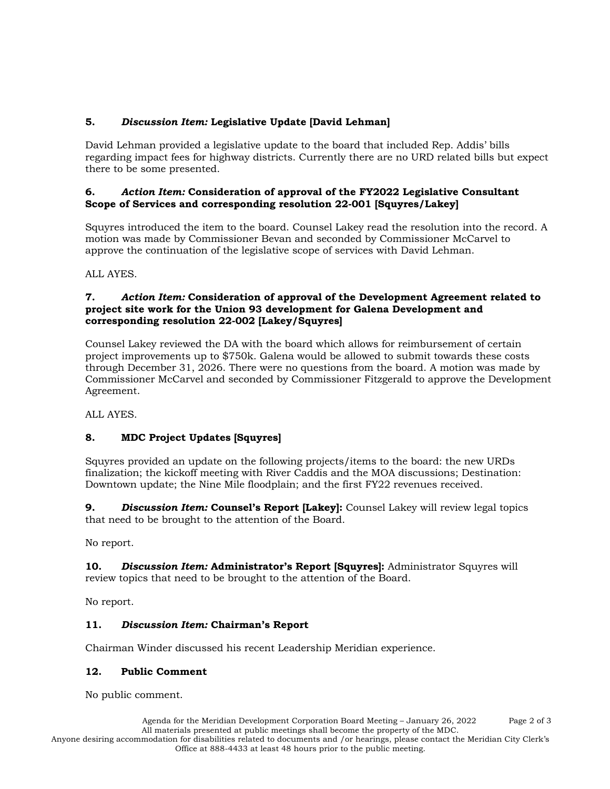# **5.** *Discussion Item:* **Legislative Update [David Lehman]**

David Lehman provided a legislative update to the board that included Rep. Addis' bills regarding impact fees for highway districts. Currently there are no URD related bills but expect there to be some presented.

## **6.** *Action Item:* **Consideration of approval of the FY2022 Legislative Consultant Scope of Services and corresponding resolution 22-001 [Squyres/Lakey]**

Squyres introduced the item to the board. Counsel Lakey read the resolution into the record. A motion was made by Commissioner Bevan and seconded by Commissioner McCarvel to approve the continuation of the legislative scope of services with David Lehman.

ALL AYES.

### **7.** *Action Item:* **Consideration of approval of the Development Agreement related to project site work for the Union 93 development for Galena Development and corresponding resolution 22-002 [Lakey/Squyres]**

Counsel Lakey reviewed the DA with the board which allows for reimbursement of certain project improvements up to \$750k. Galena would be allowed to submit towards these costs through December 31, 2026. There were no questions from the board. A motion was made by Commissioner McCarvel and seconded by Commissioner Fitzgerald to approve the Development Agreement.

ALL AYES.

# **8. MDC Project Updates [Squyres]**

Squyres provided an update on the following projects/items to the board: the new URDs finalization; the kickoff meeting with River Caddis and the MOA discussions; Destination: Downtown update; the Nine Mile floodplain; and the first FY22 revenues received.

**9.** *Discussion Item:* **Counsel's Report [Lakey]:** Counsel Lakey will review legal topics that need to be brought to the attention of the Board.

No report.

**10.** *Discussion Item:* **Administrator's Report [Squyres]:** Administrator Squyres will review topics that need to be brought to the attention of the Board.

No report.

# **11.** *Discussion Item:* **Chairman's Report**

Chairman Winder discussed his recent Leadership Meridian experience.

# **12. Public Comment**

No public comment.